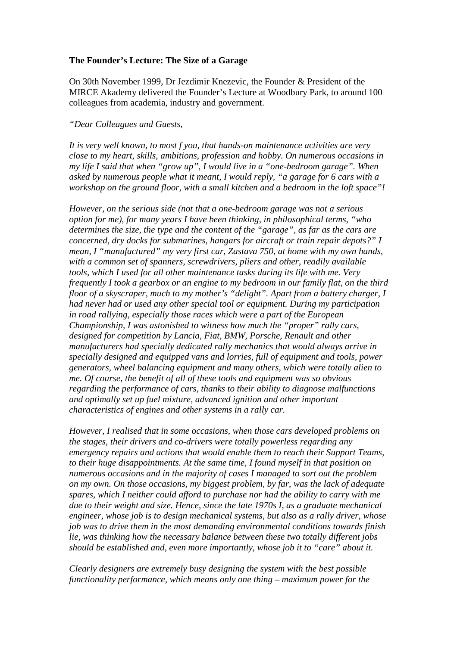## **The Founder's Lecture: The Size of a Garage**

On 30th November 1999, Dr Jezdimir Knezevic, the Founder & President of the MIRCE Akademy delivered the Founder's Lecture at Woodbury Park, to around 100 colleagues from academia, industry and government.

## *"Dear Colleagues and Guests,*

*It is very well known, to most f you, that hands-on maintenance activities are very close to my heart, skills, ambitions, profession and hobby. On numerous occasions in my life I said that when "grow up", I would live in a "one-bedroom garage". When asked by numerous people what it meant, I would reply, "a garage for 6 cars with a workshop on the ground floor, with a small kitchen and a bedroom in the loft space"!* 

*However, on the serious side (not that a one-bedroom garage was not a serious option for me), for many years I have been thinking, in philosophical terms, "who determines the size, the type and the content of the "garage", as far as the cars are concerned, dry docks for submarines, hangars for aircraft or train repair depots?" I mean, I "manufactured" my very first car, Zastava 750, at home with my own hands, with a common set of spanners, screwdrivers, pliers and other, readily available tools, which I used for all other maintenance tasks during its life with me. Very frequently I took a gearbox or an engine to my bedroom in our family flat, on the third floor of a skyscraper, much to my mother's "delight". Apart from a battery charger, I had never had or used any other special tool or equipment. During my participation in road rallying, especially those races which were a part of the European Championship, I was astonished to witness how much the "proper" rally cars, designed for competition by Lancia, Fiat, BMW, Porsche, Renault and other manufacturers had specially dedicated rally mechanics that would always arrive in specially designed and equipped vans and lorries, full of equipment and tools, power generators, wheel balancing equipment and many others, which were totally alien to me. Of course, the benefit of all of these tools and equipment was so obvious regarding the performance of cars, thanks to their ability to diagnose malfunctions and optimally set up fuel mixture, advanced ignition and other important characteristics of engines and other systems in a rally car.* 

*However, I realised that in some occasions, when those cars developed problems on the stages, their drivers and co-drivers were totally powerless regarding any emergency repairs and actions that would enable them to reach their Support Teams, to their huge disappointments. At the same time, I found myself in that position on numerous occasions and in the majority of cases I managed to sort out the problem on my own. On those occasions, my biggest problem, by far, was the lack of adequate spares, which I neither could afford to purchase nor had the ability to carry with me due to their weight and size. Hence, since the late 1970s I, as a graduate mechanical engineer, whose job is to design mechanical systems, but also as a rally driver, whose job was to drive them in the most demanding environmental conditions towards finish lie, was thinking how the necessary balance between these two totally different jobs should be established and, even more importantly, whose job it to "care" about it.* 

*Clearly designers are extremely busy designing the system with the best possible functionality performance, which means only one thing – maximum power for the*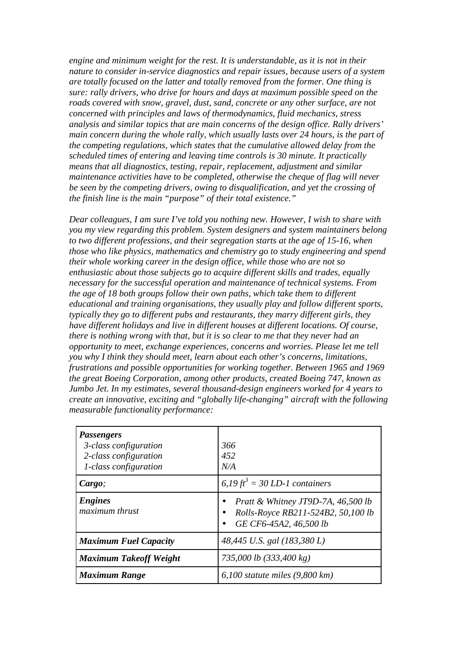*engine and minimum weight for the rest. It is understandable, as it is not in their nature to consider in-service diagnostics and repair issues, because users of a system are totally focused on the latter and totally removed from the former. One thing is sure: rally drivers, who drive for hours and days at maximum possible speed on the roads covered with snow, gravel, dust, sand, concrete or any other surface, are not concerned with principles and laws of thermodynamics, fluid mechanics, stress analysis and similar topics that are main concerns of the design office. Rally drivers' main concern during the whole rally, which usually lasts over 24 hours, is the part of the competing regulations, which states that the cumulative allowed delay from the scheduled times of entering and leaving time controls is 30 minute. It practically means that all diagnostics, testing, repair, replacement, adjustment and similar maintenance activities have to be completed, otherwise the cheque of flag will never be seen by the competing drivers, owing to disqualification, and yet the crossing of the finish line is the main "purpose" of their total existence."* 

*Dear colleagues, I am sure I've told you nothing new. However, I wish to share with you my view regarding this problem. System designers and system maintainers belong to two different professions, and their segregation starts at the age of 15-16, when those who like physics, mathematics and chemistry go to study engineering and spend their whole working career in the design office, while those who are not so enthusiastic about those subjects go to acquire different skills and trades, equally necessary for the successful operation and maintenance of technical systems. From the age of 18 both groups follow their own paths, which take them to different educational and training organisations, they usually play and follow different sports, typically they go to different pubs and restaurants, they marry different girls, they have different holidays and live in different houses at different locations. Of course, there is nothing wrong with that, but it is so clear to me that they never had an opportunity to meet, exchange experiences, concerns and worries. Please let me tell you why I think they should meet, learn about each other's concerns, limitations, frustrations and possible opportunities for working together. Between 1965 and 1969 the great Boeing Corporation, among other products, created Boeing 747, known as Jumbo Jet. In my estimates, several thousand-design engineers worked for 4 years to create an innovative, exciting and "globally life-changing" aircraft with the following measurable functionality performance:* 

| <b>Passengers</b><br>3-class configuration<br>2-class configuration<br>1-class configuration | 366<br>452<br>N/A                                                                                    |  |
|----------------------------------------------------------------------------------------------|------------------------------------------------------------------------------------------------------|--|
| Cargo;                                                                                       | 6,19 ft <sup>3</sup> = 30 LD-1 containers                                                            |  |
| <b>Engines</b><br>maximum thrust                                                             | Pratt & Whitney JT9D-7A, $46,500$ lb<br>Rolls-Royce RB211-524B2, 50,100 lb<br>GE CF6-45A2, 46,500 lb |  |
| <b>Maximum Fuel Capacity</b>                                                                 | 48,445 U.S. gal (183,380 L)                                                                          |  |
| <b>Maximum Takeoff Weight</b>                                                                | 735,000 lb (333,400 kg)                                                                              |  |
| <b>Maximum Range</b>                                                                         | $6,100$ statute miles (9,800 km)                                                                     |  |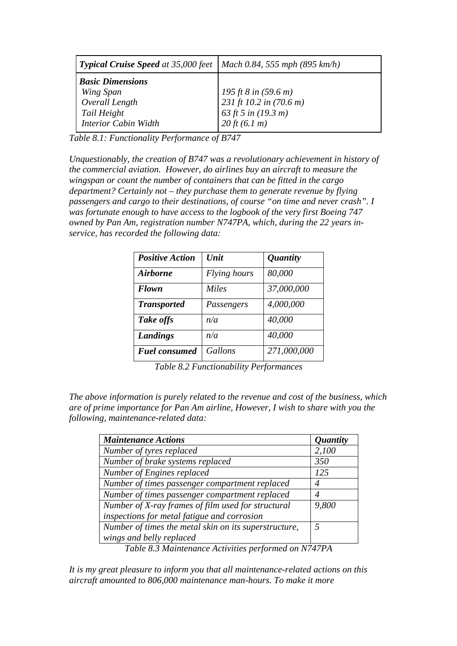| <b>Typical Cruise Speed</b> at 35,000 feet             | Mach 0.84, 555 mph (895 km/h)                                       |  |
|--------------------------------------------------------|---------------------------------------------------------------------|--|
| <b>Basic Dimensions</b><br>Wing Span<br>Overall Length | 195 ft 8 in $(59.6 \text{ m})$<br>231 ft 10.2 in $(70.6 \text{ m})$ |  |
| Tail Height<br><b>Interior Cabin Width</b>             | 63 ft 5 in $(19.3 m)$<br>$20 \, \text{ft} \, (6.1 \, \text{m})$     |  |

*Table 8.1: Functionality Performance of B747* 

*Unquestionably, the creation of B747 was a revolutionary achievement in history of the commercial aviation. However, do airlines buy an aircraft to measure the wingspan or count the number of containers that can be fitted in the cargo department? Certainly not – they purchase them to generate revenue by flying passengers and cargo to their destinations, of course "on time and never crash". I was fortunate enough to have access to the logbook of the very first Boeing 747 owned by Pan Am, registration number N747PA, which, during the 22 years inservice, has recorded the following data:* 

| <b>Positive Action</b> | <b>Unit</b>  | <i><b>Quantity</b></i> |
|------------------------|--------------|------------------------|
| <b>Airborne</b>        | Flying hours | 80,000                 |
| <b>Flown</b>           | <b>Miles</b> | 37,000,000             |
| <b>Transported</b>     | Passengers   | 4,000,000              |
| Take offs              | n/a          | 40,000                 |
| <b>Landings</b>        | n/a          | 40,000                 |
| <b>Fuel consumed</b>   | Gallons      | 271,000,000            |

*Table 8.2 Functionability Performances* 

*The above information is purely related to the revenue and cost of the business, which are of prime importance for Pan Am airline, However, I wish to share with you the following, maintenance-related data:* 

| <b>Maintenance Actions</b>                            | <i><b>Quantity</b></i> |
|-------------------------------------------------------|------------------------|
| Number of tyres replaced                              | 2,100                  |
| Number of brake systems replaced                      | 350                    |
| Number of Engines replaced                            | 125                    |
| Number of times passenger compartment replaced        |                        |
| Number of times passenger compartment replaced        |                        |
| Number of X-ray frames of film used for structural    | 9,800                  |
| inspections for metal fatigue and corrosion           |                        |
| Number of times the metal skin on its superstructure, |                        |
| wings and belly replaced                              |                        |

*Table 8.3 Maintenance Activities performed on N747PA* 

*It is my great pleasure to inform you that all maintenance-related actions on this aircraft amounted to 806,000 maintenance man-hours. To make it more*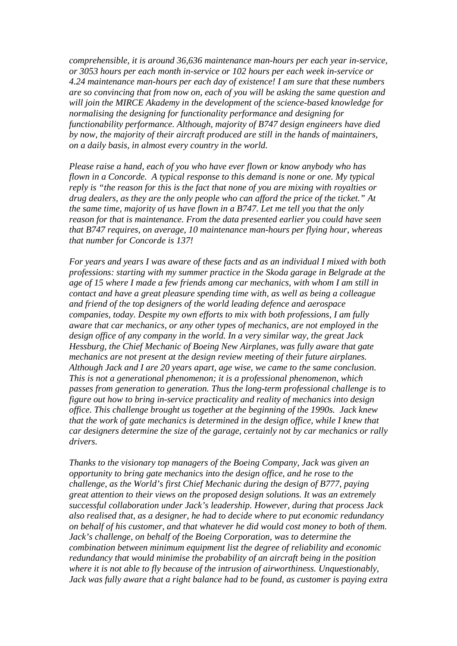*comprehensible, it is around 36,636 maintenance man-hours per each year in-service, or 3053 hours per each month in-service or 102 hours per each week in-service or 4.24 maintenance man-hours per each day of existence! I am sure that these numbers are so convincing that from now on, each of you will be asking the same question and will join the MIRCE Akademy in the development of the science-based knowledge for normalising the designing for functionality performance and designing for functionability performance. Although, majority of B747 design engineers have died by now, the majority of their aircraft produced are still in the hands of maintainers, on a daily basis, in almost every country in the world.* 

*Please raise a hand, each of you who have ever flown or know anybody who has flown in a Concorde. A typical response to this demand is none or one. My typical reply is "the reason for this is the fact that none of you are mixing with royalties or drug dealers, as they are the only people who can afford the price of the ticket." At the same time, majority of us have flown in a B747. Let me tell you that the only reason for that is maintenance. From the data presented earlier you could have seen that B747 requires, on average, 10 maintenance man-hours per flying hour, whereas that number for Concorde is 137!* 

*For years and years I was aware of these facts and as an individual I mixed with both professions: starting with my summer practice in the Skoda garage in Belgrade at the age of 15 where I made a few friends among car mechanics, with whom I am still in contact and have a great pleasure spending time with, as well as being a colleague and friend of the top designers of the world leading defence and aerospace companies, today. Despite my own efforts to mix with both professions, I am fully aware that car mechanics, or any other types of mechanics, are not employed in the design office of any company in the world. In a very similar way, the great Jack Hessburg, the Chief Mechanic of Boeing New Airplanes, was fully aware that gate mechanics are not present at the design review meeting of their future airplanes. Although Jack and I are 20 years apart, age wise, we came to the same conclusion. This is not a generational phenomenon; it is a professional phenomenon, which passes from generation to generation. Thus the long-term professional challenge is to figure out how to bring in-service practicality and reality of mechanics into design office. This challenge brought us together at the beginning of the 1990s. Jack knew that the work of gate mechanics is determined in the design office, while I knew that car designers determine the size of the garage, certainly not by car mechanics or rally drivers.* 

*Thanks to the visionary top managers of the Boeing Company, Jack was given an opportunity to bring gate mechanics into the design office, and he rose to the challenge, as the World's first Chief Mechanic during the design of B777, paying great attention to their views on the proposed design solutions. It was an extremely successful collaboration under Jack's leadership. However, during that process Jack also realised that, as a designer, he had to decide where to put economic redundancy on behalf of his customer, and that whatever he did would cost money to both of them. Jack's challenge, on behalf of the Boeing Corporation, was to determine the combination between minimum equipment list the degree of reliability and economic redundancy that would minimise the probability of an aircraft being in the position where it is not able to fly because of the intrusion of airworthiness. Unquestionably, Jack was fully aware that a right balance had to be found, as customer is paying extra*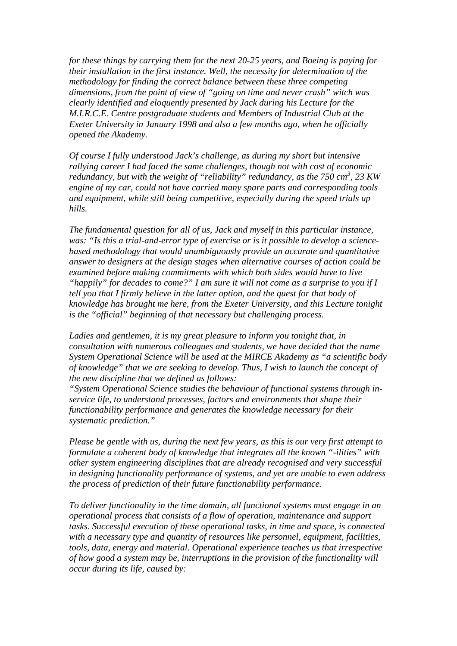*for these things by carrying them for the next 20-25 years, and Boeing is paying for their installation in the first instance. Well, the necessity for determination of the methodology for finding the correct balance between these three competing dimensions, from the point of view of "going on time and never crash" witch was clearly identified and eloquently presented by Jack during his Lecture for the M.I.R.C.E. Centre postgraduate students and Members of Industrial Club at the Exeter University in January 1998 and also a few months ago, when he officially opened the Akademy.* 

*Of course I fully understood Jack's challenge, as during my short but intensive rallying career I had faced the same challenges, though not with cost of economic redundancy, but with the weight of "reliability" redundancy, as the 750 cm<sup>3</sup> , 23 KW engine of my car, could not have carried many spare parts and corresponding tools and equipment, while still being competitive, especially during the speed trials up hills.* 

*The fundamental question for all of us, Jack and myself in this particular instance, was: "Is this a trial-and-error type of exercise or is it possible to develop a sciencebased methodology that would unambiguously provide an accurate and quantitative answer to designers at the design stages when alternative courses of action could be examined before making commitments with which both sides would have to live "happily" for decades to come?" I am sure it will not come as a surprise to you if I tell you that I firmly believe in the latter option, and the quest for that body of knowledge has brought me here, from the Exeter University, and this Lecture tonight is the "official" beginning of that necessary but challenging process.* 

*Ladies and gentlemen, it is my great pleasure to inform you tonight that, in consultation with numerous colleagues and students, we have decided that the name System Operational Science will be used at the MIRCE Akademy as "a scientific body of knowledge" that we are seeking to develop. Thus, I wish to launch the concept of the new discipline that we defined as follows:* 

*"System Operational Science studies the behaviour of functional systems through inservice life, to understand processes, factors and environments that shape their functionability performance and generates the knowledge necessary for their systematic prediction."* 

*Please be gentle with us, during the next few years, as this is our very first attempt to formulate a coherent body of knowledge that integrates all the known "-ilities" with other system engineering disciplines that are already recognised and very successful in designing functionality performance of systems, and yet are unable to even address the process of prediction of their future functionability performance.* 

*To deliver functionality in the time domain, all functional systems must engage in an operational process that consists of a flow of operation, maintenance and support tasks. Successful execution of these operational tasks, in time and space, is connected with a necessary type and quantity of resources like personnel, equipment, facilities, tools, data, energy and material. Operational experience teaches us that irrespective of how good a system may be, interruptions in the provision of the functionality will occur during its life, caused by:*